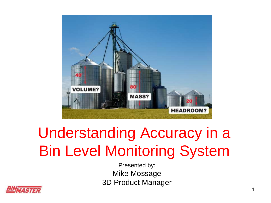

## Understanding Accuracy in a Bin Level Monitoring System

Presented by: Mike Mossage 3D Product Manager

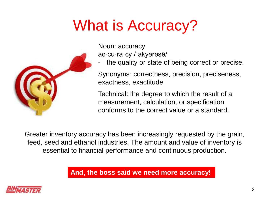### What is Accuracy?



Noun: accuracy ac·cu·ra·cy /ˈakyərəsē/

the quality or state of being correct or precise.

Synonyms: correctness, precision, preciseness, exactness, exactitude

Technical: the degree to which the result of a measurement, calculation, or specification conforms to the correct value or a standard.

Greater inventory accuracy has been increasingly requested by the grain, feed, seed and ethanol industries. The amount and value of inventory is essential to financial performance and continuous production.

**And, the boss said we need more accuracy!**

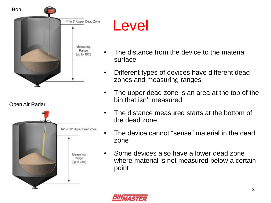

#### Level

- The distance from the device to the material surface
- Different types of devices have different dead zones and measuring ranges
- The upper dead zone is an area at the top of the bin that isn't measured
- The distance measured starts at the bottom of the dead zone
- The device cannot "sense" material in the dead zone
- Some devices also have a lower dead zone where material is not measured below a certain point

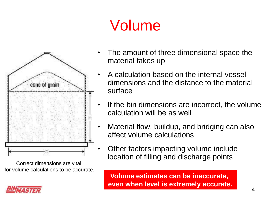# Volume



Correct dimensions are vital for volume calculations to be accurate.

- The amount of three dimensional space the material takes up
- A calculation based on the internal vessel dimensions and the distance to the material surface
- If the bin dimensions are incorrect, the volume calculation will be as well
- Material flow, buildup, and bridging can also affect volume calculations
- Other factors impacting volume include location of filling and discharge points

**Volume estimates can be inaccurate, even when level is extremely accurate.**

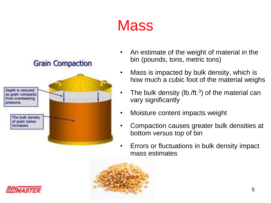#### **Mass**



- An estimate of the weight of material in the bin (pounds, tons, metric tons)
- Mass is impacted by bulk density, which is how much a cubic foot of the material weighs
- The bulk density (lb./ft. $3$ ) of the material can vary significantly
- Moisture content impacts weight
- Compaction causes greater bulk densities at bottom versus top of bin
- Errors or fluctuations in bulk density impact mass estimates



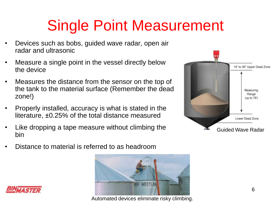## Single Point Measurement

- Devices such as bobs, guided wave radar, open air radar and ultrasonic
- Measure a single point in the vessel directly below the device
- Measures the distance from the sensor on the top of the tank to the material surface (Remember the dead zone!)
- Properly installed, accuracy is what is stated in the literature, ±0.25% of the total distance measured
- Like dropping a tape measure without climbing the bin
- Distance to material is referred to as headroom







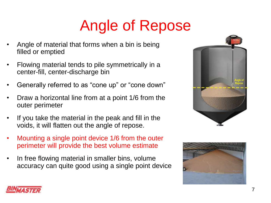# Angle of Repose

- Angle of material that forms when a bin is being filled or emptied
- Flowing material tends to pile symmetrically in a center-fill, center-discharge bin
- Generally referred to as "cone up" or "cone down"
- Draw a horizontal line from at a point 1/6 from the outer perimeter
- If you take the material in the peak and fill in the voids, it will flatten out the angle of repose.
- Mounting a single point device 1/6 from the outer perimeter will provide the best volume estimate
- In free flowing material in smaller bins, volume accuracy can quite good using a single point device





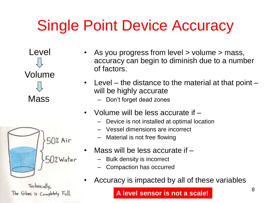## Single Point Device Accuracy

Level Volume

Mass

|  | 50% Air      |
|--|--------------|
|  | $-50$ %Water |
|  |              |

Technically, The Glass is Completely Full.

- As you progress from level > volume > mass, accuracy can begin to diminish due to a number of factors.
- Level the distance to the material at that point will be highly accurate
	- Don't forget dead zones
- Volume will be less accurate if
	- Device is not installed at optimal location
	- Vessel dimensions are incorrect
	- Material is not free flowing
- Mass will be less accurate if
	- Bulk density is incorrect
	- Compaction has occurred
- Accuracy is impacted by all of these variables

**A level sensor is not a scale!**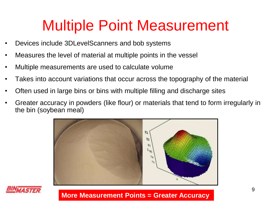#### Multiple Point Measurement

- Devices include 3DLevelScanners and bob systems
- Measures the level of material at multiple points in the vessel
- Multiple measurements are used to calculate volume
- Takes into account variations that occur across the topography of the material
- Often used in large bins or bins with multiple filling and discharge sites
- Greater accuracy in powders (like flour) or materials that tend to form irregularly in the bin (soybean meal)





**More Measurement Points = Greater Accuracy**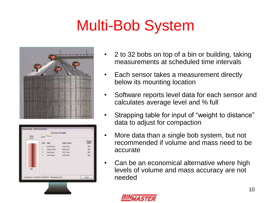## Multi-Bob System



|               |              | Vessel Details                                                                |                           |                 |
|---------------|--------------|-------------------------------------------------------------------------------|---------------------------|-----------------|
| Com<br>386 DT |              | Vargel Device                                                                 |                           |                 |
|               |              | AM Label                                                                      | <b>Height Status</b>      | Fielas<br>Weigh |
|               | $\mathbb{R}$ | <b>Moth Serroot</b>                                                           | 74.36 Fast                | 25x             |
|               | ź.<br>5      | Center Serror                                                                 | 59.66 Fast                | 28%             |
|               | ä.           | If act Sensor<br>Well Senate                                                  | 74.41 Fast<br>74.36. Feet | 26%<br>264      |
|               |              | ayan                                                                          |                           |                 |
| 料             |              | <b>Contract Provide</b><br>Latificature TL/25/2011 9:00:43 AM Next Measure NA |                           | Door            |

- 2 to 32 bobs on top of a bin or building, taking measurements at scheduled time intervals
- Each sensor takes a measurement directly below its mounting location
- Software reports level data for each sensor and calculates average level and % full
- Strapping table for input of "weight to distance" data to adjust for compaction
- More data than a single bob system, but not recommended if volume and mass need to be accurate
- Can be an economical alternative where high levels of volume and mass accuracy are not needed

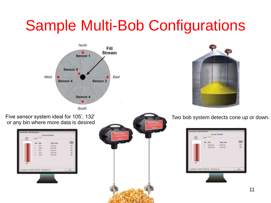#### Sample Multi-Bob Configurations





or any bin where more data is desired

| $rac{1}{2}$ | Voyal Town                                              | Viscont Debate                                           |              |
|-------------|---------------------------------------------------------|----------------------------------------------------------|--------------|
|             | <b>MAI</b> LAW<br>R.<br>Stark.<br>ü<br>Darsey           | <b>HARLTRIN</b><br><b>FEBER</b><br>AP All Peer           | 経はまま         |
|             | $\frac{1}{4}$<br><b>Sec</b><br>West<br>×<br><b>Suar</b> | <b>FEA FINE</b><br><b>Floor Final</b><br><b>FEDE TWO</b> | m            |
| see.        |                                                         |                                                          |              |
|             | Jan Monice: TC/20/2019 14:40 AM - New Massive No.       |                                                          | <b>Cleve</b> |



Five sensor system ideal for 105', 132' Two bob system detects cone up or down.

| Curs.<br><b>GLID</b> | Hend, Deves [1]<br><b>BARTONIA</b>                                        | Vessel Details                                         |               |
|----------------------|---------------------------------------------------------------------------|--------------------------------------------------------|---------------|
| 400.                 | <b>Mdd</b> Labst<br>I Hoth Speem<br>I Ceta Sexo:                          | <b>Thruft: Status</b><br>00 02 Toti  <br>74.28. Foot : | œ<br>701<br>m |
|                      | many areas decorates many-<br>LacHossen 11/25/2011/03/15TAN Next Heavy NA |                                                        | $$ Don        |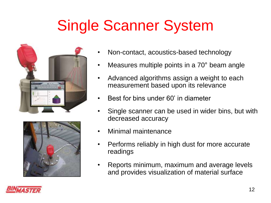## Single Scanner System





- Non-contact, acoustics-based technology
- Measures multiple points in a 70° beam angle
- Advanced algorithms assign a weight to each measurement based upon its relevance
- Best for bins under 60' in diameter
- Single scanner can be used in wider bins, but with decreased accuracy
- Minimal maintenance
- Performs reliably in high dust for more accurate readings
- Reports minimum, maximum and average levels and provides visualization of material surface

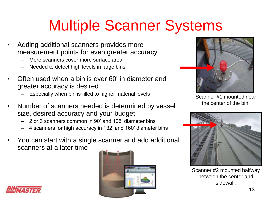## Multiple Scanner Systems

- Adding additional scanners provides more measurement points for even greater accuracy
	- More scanners cover more surface area
	- Needed to detect high levels in large bins
- Often used when a bin is over 60' in diameter and greater accuracy is desired
	- Especially when bin is filled to higher material levels
- Number of scanners needed is determined by vessel size, desired accuracy and your budget!
	- 2 or 3 scanners common in 90' and 105' diameter bins
	- 4 scanners for high accuracy in 132' and 160' diameter bins
- You can start with a single scanner and add additional scanners at a later time





Scanner #1 mounted near the center of the bin.



Scanner #2 mounted halfway between the center and sidewall.

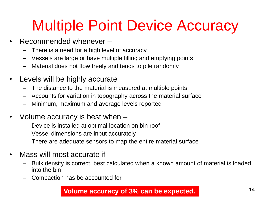#### Multiple Point Device Accuracy

- Recommended whenever
	- There is a need for a high level of accuracy
	- Vessels are large or have multiple filling and emptying points
	- Material does not flow freely and tends to pile randomly
- Levels will be highly accurate
	- The distance to the material is measured at multiple points
	- Accounts for variation in topography across the material surface
	- Minimum, maximum and average levels reported
- Volume accuracy is best when
	- Device is installed at optimal location on bin roof
	- Vessel dimensions are input accurately
	- There are adequate sensors to map the entire material surface
- Mass will most accurate if  $-$ 
	- Bulk density is correct, best calculated when a known amount of material is loaded into the bin
	- Compaction has be accounted for

**Volume accuracy of 3% can be expected.**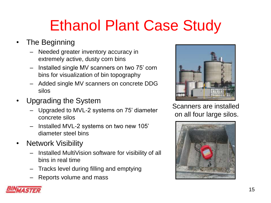# Ethanol Plant Case Study

- The Beginning
	- Needed greater inventory accuracy in extremely active, dusty corn bins
	- Installed single MV scanners on two 75' corn bins for visualization of bin topography
	- Added single MV scanners on concrete DDG silos
- Upgrading the System
	- Upgraded to MVL-2 systems on 75' diameter concrete silos
	- Installed MVL-2 systems on two new 105' diameter steel bins
- Network Visibility
	- Installed MultiVision software for visibility of all bins in real time
	- Tracks level during filling and emptying
	- Reports volume and mass



Scanners are installed on all four large silos.

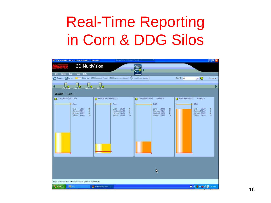#### Real-Time Reporting in Corn & DDG Silos

| 2 3D MultiVision (tech - Local:localhost) - Advanced                                                                                        | LogMeln - Remote Session                                                                                                               |                                                                                                                                                      |                                                                                                               | $\vert \cdot \vert$ $\sigma$ $\vert \times \vert$ |
|---------------------------------------------------------------------------------------------------------------------------------------------|----------------------------------------------------------------------------------------------------------------------------------------|------------------------------------------------------------------------------------------------------------------------------------------------------|---------------------------------------------------------------------------------------------------------------|---------------------------------------------------|
| <b>3D MultiVision</b>                                                                                                                       |                                                                                                                                        |                                                                                                                                                      |                                                                                                               |                                                   |
|                                                                                                                                             |                                                                                                                                        |                                                                                                                                                      |                                                                                                               |                                                   |
| Help<br>File<br><b>Action</b><br>Edit<br>Tools<br>→ Open Pl Save                                                                            | Distance CC Connect Vessel CC Disconnect Vessel (2) Load from Vessel                                                                   | Overview                                                                                                                                             | Sort By: All<br>-10                                                                                           | Connected                                         |
|                                                                                                                                             |                                                                                                                                        |                                                                                                                                                      |                                                                                                               |                                                   |
| Com North Com South<br>DDG North                                                                                                            | <b>DDG South</b>                                                                                                                       |                                                                                                                                                      |                                                                                                               |                                                   |
| Vessels Logs                                                                                                                                |                                                                                                                                        |                                                                                                                                                      |                                                                                                               |                                                   |
| C Corn North (MVL) 2/2<br>Corn<br>Level<br>68.95<br>ft.<br>Max Level 70.14<br>ft.<br>Min Level 51,29<br>化.<br>Volume 41.80<br>$\frac{1}{2}$ | O Corn South (MVL) 2/2<br>Corn<br>Lavel<br>28.03<br>ft.<br>Max Level 37.38<br>ft.<br>Min Level 16.21<br>ft.<br>Volume 16.15<br>$q_{0}$ | O DDG North (MV)<br>Polling:2<br><b>DDG</b><br>Level<br>23.09<br>胜<br>作<br>Max Level 28.74<br>Min Level 18.31<br>ft.<br>Volume 23,85<br>$n_{\rm th}$ | O DDG South (MV)<br>Polling:3<br>DDG<br>Level:<br>88.59<br>Max Level 90.67<br>Min Level 88.59<br>Volume 91.10 | ft.<br>ft.<br>ft<br>%                             |
|                                                                                                                                             |                                                                                                                                        | Ķ                                                                                                                                                    |                                                                                                               |                                                   |
| Scanners General Data retrieve:Completed 8/7/2012 10:07:15 AM                                                                               |                                                                                                                                        |                                                                                                                                                      |                                                                                                               |                                                   |
| 2400<br><b>Start</b>                                                                                                                        | 3D MultiVision (tech -                                                                                                                 |                                                                                                                                                      | 图 < 四 42 暨 2 图 10:07 AM                                                                                       |                                                   |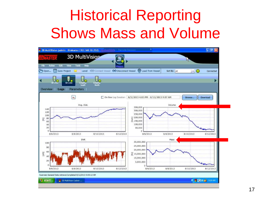#### Historical Reporting Shows Mass and Volume

|                                                                                                                                                                                                                                                                                                                    | 3D MultiVision (admin BinMaster: 192.168.10.252)              | 1 - Remote Session                                                        |              | $\Box$ e                      |
|--------------------------------------------------------------------------------------------------------------------------------------------------------------------------------------------------------------------------------------------------------------------------------------------------------------------|---------------------------------------------------------------|---------------------------------------------------------------------------|--------------|-------------------------------|
|                                                                                                                                                                                                                                                                                                                    | 3D MultiVision                                                |                                                                           |              | W                             |
| Edit<br>File<br>Action                                                                                                                                                                                                                                                                                             | View<br><b>Tools</b><br>Help                                  |                                                                           |              |                               |
| C <sub>2</sub> Open                                                                                                                                                                                                                                                                                                | Save Project                                                  | <b>W</b> Load from Vessel<br>Level CO Connect Vessel CO Disconnect Vessel | Sort By: All | $\blacksquare$ O<br>Connected |
|                                                                                                                                                                                                                                                                                                                    |                                                               |                                                                           |              |                               |
| <b>Bd</b> 1163                                                                                                                                                                                                                                                                                                     | VC<br>58 1183<br><b>SECT</b><br><b>North</b><br>South         |                                                                           |              |                               |
| Logs<br>Overview                                                                                                                                                                                                                                                                                                   | <b>Parameters</b>                                             |                                                                           |              |                               |
|                                                                                                                                                                                                                                                                                                                    | $\mathbf{x}_h$                                                | On line Log Duration: 8/5/2013 4:03 PM - 8/12/2013 9:07 AM                |              | Download<br>Browse            |
|                                                                                                                                                                                                                                                                                                                    |                                                               |                                                                           |              |                               |
|                                                                                                                                                                                                                                                                                                                    | Avg. Dist.                                                    | 350,000                                                                   | Volume       |                               |
| 140<br>120                                                                                                                                                                                                                                                                                                         |                                                               | 300,000                                                                   |              |                               |
| 100                                                                                                                                                                                                                                                                                                                |                                                               | 250,000                                                                   |              |                               |
| 80<br>$\Xi$<br>60                                                                                                                                                                                                                                                                                                  |                                                               | $\frac{12}{2}$ 200,000<br>$\frac{3}{2}$ 150,000                           |              |                               |
| 40<br>20                                                                                                                                                                                                                                                                                                           |                                                               | 100,000                                                                   |              |                               |
| 0                                                                                                                                                                                                                                                                                                                  |                                                               | 50,000<br>o                                                               |              |                               |
| 8/6/2013                                                                                                                                                                                                                                                                                                           | 8/8/2013<br>8/10/2013                                         | 8/6/2013<br>8/12/2013                                                     | 8/8/2013     | 8/12/2013<br>8/10/2013        |
|                                                                                                                                                                                                                                                                                                                    | SNR                                                           | 30,000,000                                                                | Mass         |                               |
| 100                                                                                                                                                                                                                                                                                                                |                                                               | 25,000,000                                                                |              |                               |
| 80                                                                                                                                                                                                                                                                                                                 |                                                               | 20,000,000                                                                |              |                               |
| 60<br>$[dB] % \begin{center} % \includegraphics[width=\linewidth]{imagesSupplemental.jpg} % \end{center} % \caption { % Our method shows the proposed method. % The method shows the proposed method. % The method shows the proposed method. % The method shows the proposed method. % } % \label{fig:example} %$ |                                                               | 至 15,000,000                                                              |              |                               |
| 40                                                                                                                                                                                                                                                                                                                 |                                                               | 10,000,000                                                                |              |                               |
| 20                                                                                                                                                                                                                                                                                                                 |                                                               | 5,000,000                                                                 |              |                               |
| O<br>8/6/2013                                                                                                                                                                                                                                                                                                      | 8/8/2013<br>8/10/2013                                         | o<br>8/12/2013<br>B/6/2013                                                | 8/8/2013     | 8/10/2013<br>8/12/2013        |
|                                                                                                                                                                                                                                                                                                                    |                                                               |                                                                           |              |                               |
|                                                                                                                                                                                                                                                                                                                    | Scanners General Data retrieve:Completed 8/12/2013 9:09:12 AM |                                                                           |              |                               |
| <b><i>i</i></b> start                                                                                                                                                                                                                                                                                              | 3D MultiVision (admin                                         |                                                                           |              | ● 表 238 点 9:09 AM             |
|                                                                                                                                                                                                                                                                                                                    |                                                               |                                                                           |              |                               |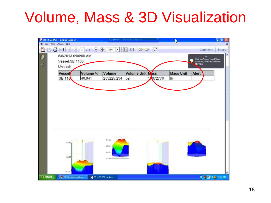#### Volume, Mass & 3D Visualization